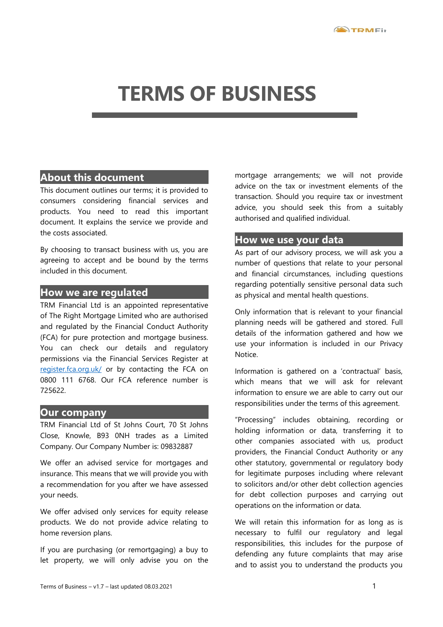# **TERMS OF BUSINESS**

## **About this document**

This document outlines our terms; it is provided to consumers considering financial services and products. You need to read this important document. It explains the service we provide and the costs associated.

By choosing to transact business with us, you are agreeing to accept and be bound by the terms included in this document.

## **How we are regulated**

TRM Financial Ltd is an appointed representative of The Right Mortgage Limited who are authorised and regulated by the Financial Conduct Authority (FCA) for pure protection and mortgage business. You can check our details and regulatory permissions via the Financial Services Register at [register.fca.org.uk/](https://register.fca.org.uk/) or by contacting the FCA on 0800 111 6768. Our FCA reference number is 725622.

## **Our company**

TRM Financial Ltd of St Johns Court, 70 St Johns Close, Knowle, B93 0NH trades as a Limited Company. Our Company Number is: 09832887

We offer an advised service for mortgages and insurance. This means that we will provide you with a recommendation for you after we have assessed your needs.

We offer advised only services for equity release products. We do not provide advice relating to home reversion plans.

If you are purchasing (or remortgaging) a buy to let property, we will only advise you on the mortgage arrangements; we will not provide advice on the tax or investment elements of the transaction. Should you require tax or investment advice, you should seek this from a suitably authorised and qualified individual.

## **How we use your data**

As part of our advisory process, we will ask you a number of questions that relate to your personal and financial circumstances, including questions regarding potentially sensitive personal data such as physical and mental health questions.

Only information that is relevant to your financial planning needs will be gathered and stored. Full details of the information gathered and how we use your information is included in our Privacy Notice.

Information is gathered on a 'contractual' basis, which means that we will ask for relevant information to ensure we are able to carry out our responsibilities under the terms of this agreement.

"Processing" includes obtaining, recording or holding information or data, transferring it to other companies associated with us, product providers, the Financial Conduct Authority or any other statutory, governmental or regulatory body for legitimate purposes including where relevant to solicitors and/or other debt collection agencies for debt collection purposes and carrying out operations on the information or data.

We will retain this information for as long as is necessary to fulfil our regulatory and legal responsibilities, this includes for the purpose of defending any future complaints that may arise and to assist you to understand the products you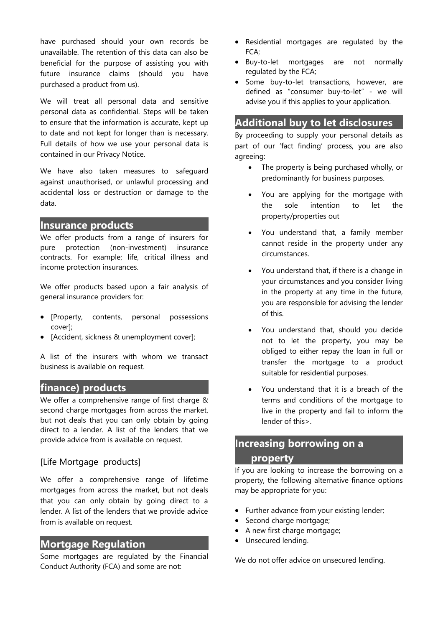have purchased should your own records be unavailable. The retention of this data can also be beneficial for the purpose of assisting you with future insurance claims (should you have purchased a product from us).

We will treat all personal data and sensitive personal data as confidential. Steps will be taken to ensure that the information is accurate, kept up to date and not kept for longer than is necessary. Full details of how we use your personal data is contained in our Privacy Notice.

We have also taken measures to safeguard against unauthorised, or unlawful processing and accidental loss or destruction or damage to the data.

## **Insurance products**

We offer products from a range of insurers for pure protection (non-investment) insurance contracts. For example; life, critical illness and income protection insurances.

We offer products based upon a fair analysis of general insurance providers for:

- [Property, contents, personal possessions cover];
- [Accident, sickness & unemployment cover];

A list of the insurers with whom we transact business is available on request.

## **finance) products**

We offer a comprehensive range of first charge & second charge mortgages from across the market, but not deals that you can only obtain by going direct to a lender. A list of the lenders that we provide advice from is available on request.

## [Life Mortgage products]

We offer a comprehensive range of lifetime mortgages from across the market, but not deals that you can only obtain by going direct to a lender. A list of the lenders that we provide advice from is available on request.

## **Mortgage Regulation**

Some mortgages are regulated by the Financial Conduct Authority (FCA) and some are not:

- Residential mortgages are regulated by the FCA;
- Buy-to-let mortgages are not normally regulated by the FCA;
- Some buy-to-let transactions, however, are defined as "consumer buy-to-let" - we will advise you if this applies to your application.

## **Additional buy to let disclosures**

By proceeding to supply your personal details as part of our 'fact finding' process, you are also agreeing:

- The property is being purchased wholly, or predominantly for business purposes.
- You are applying for the mortgage with the sole intention to let the property/properties out
- You understand that, a family member cannot reside in the property under any circumstances.
- You understand that, if there is a change in your circumstances and you consider living in the property at any time in the future, you are responsible for advising the lender of this.
- You understand that, should you decide not to let the property, you may be obliged to either repay the loan in full or transfer the mortgage to a product suitable for residential purposes.
- You understand that it is a breach of the terms and conditions of the mortgage to live in the property and fail to inform the lender of this>.

## **Increasing borrowing on a property**

If you are looking to increase the borrowing on a property, the following alternative finance options may be appropriate for you:

- Further advance from your existing lender;
- Second charge mortgage;
- A new first charge mortgage;
- **•** Unsecured lending.

We do not offer advice on unsecured lending.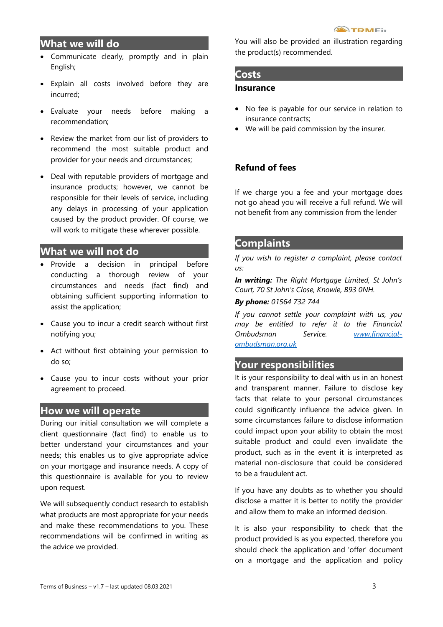## **What we will do**

- Communicate clearly, promptly and in plain English;
- Explain all costs involved before they are incurred;
- Evaluate your needs before making a recommendation;
- Review the market from our list of providers to recommend the most suitable product and provider for your needs and circumstances;
- Deal with reputable providers of mortgage and insurance products; however, we cannot be responsible for their levels of service, including any delays in processing of your application caused by the product provider. Of course, we will work to mitigate these wherever possible.

## **What we will not do**

- Provide a decision in principal before conducting a thorough review of your circumstances and needs (fact find) and obtaining sufficient supporting information to assist the application;
- Cause you to incur a credit search without first notifying you;
- Act without first obtaining your permission to do so;
- Cause you to incur costs without your prior agreement to proceed.

## **How we will operate**

During our initial consultation we will complete a client questionnaire (fact find) to enable us to better understand your circumstances and your needs; this enables us to give appropriate advice on your mortgage and insurance needs. A copy of this questionnaire is available for you to review upon request.

We will subsequently conduct research to establish what products are most appropriate for your needs and make these recommendations to you. These recommendations will be confirmed in writing as the advice we provided.

You will also be provided an illustration regarding the product(s) recommended.

### **Costs**

#### **Insurance**

- No fee is payable for our service in relation to insurance contracts;
- We will be paid commission by the insurer.

## **Refund of fees**

If we charge you a fee and your mortgage does not go ahead you will receive a full refund. We will not benefit from any commission from the lender

## **Complaints**

*If you wish to register a complaint, please contact us:*

*In writing: The Right Mortgage Limited, St John's Court, 70 St John's Close, Knowle, B93 0NH.*

#### *By phone: 01564 732 744*

*If you cannot settle your complaint with us, you may be entitled to refer it to the Financial Ombudsman Service. [www.financial](http://www.financial-ombudsman.org.uk/)[ombudsman.org.uk](http://www.financial-ombudsman.org.uk/)*

## **Your responsibilities**

It is your responsibility to deal with us in an honest and transparent manner. Failure to disclose key facts that relate to your personal circumstances could significantly influence the advice given. In some circumstances failure to disclose information could impact upon your ability to obtain the most suitable product and could even invalidate the product, such as in the event it is interpreted as material non-disclosure that could be considered to be a fraudulent act.

If you have any doubts as to whether you should disclose a matter it is better to notify the provider and allow them to make an informed decision.

It is also your responsibility to check that the product provided is as you expected, therefore you should check the application and 'offer' document on a mortgage and the application and policy